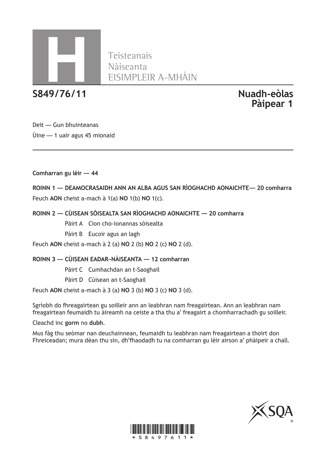

Teisteanais

**S849/76/11 Nuadh-eòlas**

**Pàipear 1**

Deit — Gun bhuinteanas Ùine — 1 uair agus 45 mionaid

**Comharran gu lèir — 44**

**ROINN 1 — DEAMOCRASAIDH ANN AN ALBA AGUS SAN RÌOGHACHD AONAICHTE— 20 comharra** Feuch **AON** cheist a-mach à 1(a) **NO** 1(b) **NO** 1(c).

**ROINN 2 — CÙISEAN SÒISEALTA SAN RÌOGHACHD AONAICHTE — 20 comharra**

Pàirt A Cion cho-ionannas sòisealta

Pàirt B Eucoir agus an lagh

Feuch **AON** cheist a-mach à 2 (a) **NO** 2 (b) **NO** 2 (c) **NO** 2 (d).

#### **ROINN 3 — CÙISEAN EADAR–NÀISEANTA — 12 comharran**

Pàirt C Cumhachdan an t-Saoghail

Pàirt D Cùisean an t-Saoghail

Feuch **AON** cheist a-mach à 3 (a) **NO** 3 (b) **NO** 3 (c) **NO** 3 (d).

Sgrìobh do fhreagairtean gu soilleir ann an leabhran nam freagairtean. Ann an leabhran nam freagairtean feumaidh tu àireamh na ceiste a tha thu a' freagairt a chomharrachadh gu soilleir.

Cleachd inc **gorm** no **dubh**.

Mus fàg thu seòmar nan deuchainnean, feumaidh tu leabhran nam freagairtean a thoirt don Fhreiceadan; mura dèan thu sin, dh'fhaodadh tu na comharran gu lèir airson a' phàipeir a chall.



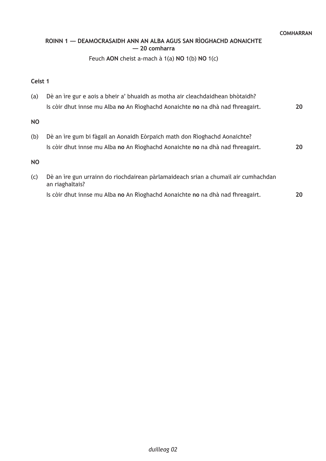## **ROINN 1 — DEAMOCRASAIDH ANN AN ALBA AGUS SAN RÌOGHACHD AONAICHTE — 20 comharra**

## Feuch **AON** cheist a-mach à 1(a) **NO** 1(b) **NO** 1(c)

#### **Ceist 1**

| (a)       | Dè an ìre gur e aois a bheir a' bhuaidh as motha air cleachdaidhean bhòtaidh?                         |    |
|-----------|-------------------------------------------------------------------------------------------------------|----|
|           | Is còir dhut innse mu Alba no An Rìoghachd Aonaichte no na dhà nad fhreagairt.                        | 20 |
| <b>NO</b> |                                                                                                       |    |
| (b)       | Dè an ìre gum bi fàgail an Aonaidh Eòrpaich math don Rìoghachd Aonaichte?                             |    |
|           | Is còir dhut innse mu Alba no An Rìoghachd Aonaichte no na dhà nad fhreagairt.                        | 20 |
| <b>NO</b> |                                                                                                       |    |
| (c)       | Dè an ìre gun urrainn do riochdairean pàrlamaideach srian a chumail air cumhachdan<br>an riaghaltais? |    |
|           | Is còir dhut innse mu Alba no An Rìoghachd Aonaichte no na dhà nad fhreagairt.                        | 20 |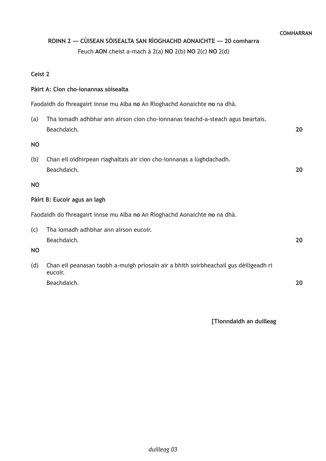# **ROINN 2 — CÙISEAN SÒISEALTA SAN RÌOGHACHD AONAICHTE — 20 comharra**

Feuch **AON** cheist a-mach à 2(a) **NO** 2(b) **NO** 2(c) **NO** 2(d)

## **Ceist 2**

## **Pàirt A: Cion cho-ionannas sòisealta**

Faodaidh do fhreagairt innse mu Alba **no** An Rìoghachd Aonaichte **no** na dhà.

| (a)                                                                       | Tha iomadh adhbhar ann airson cion cho-ionnanas teachd-a-steach agus beartais.<br>Beachdaich.   | 20 |  |  |
|---------------------------------------------------------------------------|-------------------------------------------------------------------------------------------------|----|--|--|
| <b>NO</b>                                                                 |                                                                                                 |    |  |  |
| (b)                                                                       | Chan eil oidhirpean riaghaltais air cion cho-ionnanas a lùghdachadh.<br>Beachdaich.             | 20 |  |  |
| <b>NO</b>                                                                 |                                                                                                 |    |  |  |
| Pàirt B: Eucoir agus an lagh                                              |                                                                                                 |    |  |  |
| Faodaidh do fhreagairt innse mu Alba no An Rìoghachd Aonaichte no na dhà. |                                                                                                 |    |  |  |
| (c)                                                                       | Tha iomadh adhbhar ann airson eucoir.<br>Beachdaich.                                            | 20 |  |  |
| <b>NO</b>                                                                 |                                                                                                 |    |  |  |
| (d)                                                                       | Chan eil peanasan taobh a-muigh prìosain air a bhith soirbheachail gus dèiligeadh ri<br>eucoir. |    |  |  |

Beachdaich.

**20**

**[Tionndaidh an duilleag**